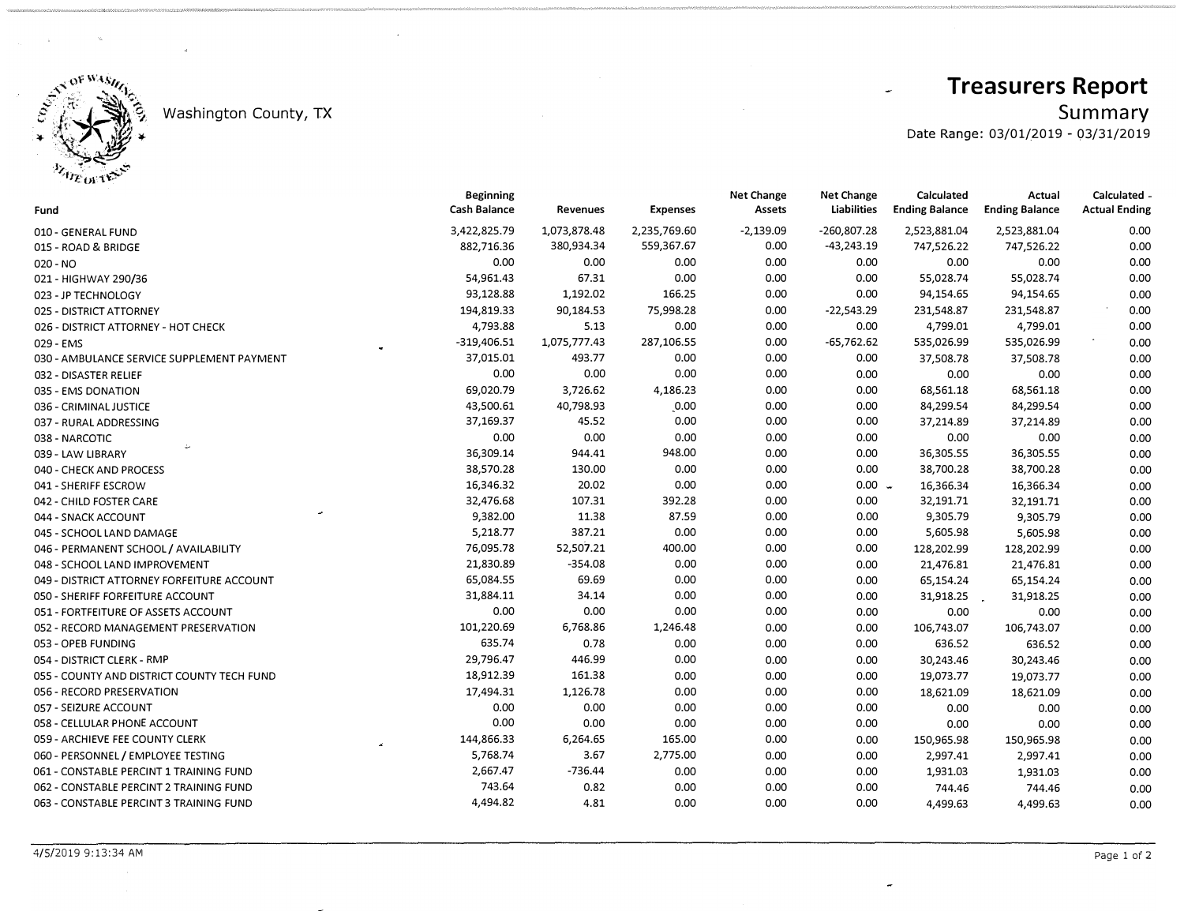

## Washington County, TX

## **Treasurers Report**

 $Summary$ <br>Date Range: 03/01/2019 - 03/31/2019

 $\rightarrow$ 

| Fund                                       | Beginning<br>Cash Balance | Revenues     | <b>Expenses</b> | <b>Net Change</b><br>Assets | ivet change<br><b>Liabilities</b> | Calculated<br><b>Ending Balance</b> | Actual<br><b>Ending Balance</b> | Calculated<br><b>Actual Ending</b> |
|--------------------------------------------|---------------------------|--------------|-----------------|-----------------------------|-----------------------------------|-------------------------------------|---------------------------------|------------------------------------|
| 010 - GENERAL FUND                         | 3,422,825.79              | 1,073,878.48 | 2,235,769.60    | $-2,139.09$                 | $-260,807.28$                     | 2,523,881.04                        | 2,523,881.04                    | 0.00                               |
| 015 - ROAD & BRIDGE                        | 882,716.36                | 380,934.34   | 559,367.67      | 0.00                        | $-43,243.19$                      | 747,526.22                          | 747,526.22                      | 0.00                               |
| 020 - NO                                   | 0.00                      | 0.00         | 0.00            | 0.00                        | 0.00                              | 0.00                                | 0.00                            | 0.00                               |
| 021 - HIGHWAY 290/36                       | 54,961.43                 | 67.31        | 0.00            | 0.00                        | 0.00                              | 55,028.74                           | 55,028.74                       | 0.00                               |
| 023 - JP TECHNOLOGY                        | 93,128.88                 | 1,192.02     | 166.25          | 0.00                        | 0.00                              | 94,154.65                           | 94,154.65                       | 0.00                               |
| 025 - DISTRICT ATTORNEY                    | 194,819.33                | 90,184.53    | 75,998.28       | 0.00                        | $-22,543.29$                      | 231,548.87                          | 231,548.87                      | 0.00                               |
| 026 - DISTRICT ATTORNEY - HOT CHECK        | 4,793.88                  | 5.13         | 0.00            | 0.00                        | 0.00                              | 4,799.01                            | 4,799.01                        | 0.00                               |
| 029 - EMS                                  | $-319,406.51$             | 1,075,777.43 | 287,106.55      | 0.00                        | $-65,762.62$                      | 535,026.99                          | 535,026.99                      | 0.00                               |
| 030 - AMBULANCE SERVICE SUPPLEMENT PAYMENT | 37,015.01                 | 493.77       | 0.00            | 0.00                        | 0.00                              | 37,508.78                           | 37,508.78                       | 0.00                               |
| 032 - DISASTER RELIEF                      | 0.00                      | 0.00         | 0.00            | 0.00                        | 0.00                              | 0.00                                | 0.00                            | 0.00                               |
| 035 - EMS DONATION                         | 69,020.79                 | 3,726.62     | 4,186.23        | 0.00                        | 0.00                              | 68,561.18                           | 68,561.18                       | 0.00                               |
| 036 - CRIMINAL JUSTICE                     | 43,500.61                 | 40,798.93    | 0.00            | 0.00                        | 0.00                              | 84,299.54                           | 84,299.54                       | 0.00                               |
| 037 - RURAL ADDRESSING                     | 37,169.37                 | 45.52        | 0.00            | 0.00                        | 0.00                              | 37,214.89                           | 37,214.89                       | 0.00                               |
| 038 - NARCOTIC                             | 0.00                      | 0.00         | 0.00            | 0.00                        | 0.00                              | 0.00                                | 0.00                            | 0.00                               |
| 039 - LAW LIBRARY                          | 36,309.14                 | 944.41       | 948.00          | 0.00                        | 0.00                              | 36,305.55                           | 36,305.55                       | 0.00                               |
| 040 - CHECK AND PROCESS                    | 38,570.28                 | 130.00       | 0.00            | 0.00                        | 0.00                              | 38,700.28                           | 38,700.28                       | 0.00                               |
| 041 - SHERIFF ESCROW                       | 16,346.32                 | 20.02        | 0.00            | 0.00                        | $0.00 -$                          | 16,366.34                           | 16,366.34                       | 0.00                               |
| 042 - CHILD FOSTER CARE                    | 32,476.68                 | 107.31       | 392.28          | 0.00                        | 0.00                              | 32,191.71                           | 32,191.71                       | 0.00                               |
| 044 - SNACK ACCOUNT                        | 9,382.00                  | 11.38        | 87.59           | 0.00                        | 0.00                              | 9,305.79                            | 9,305.79                        | 0.00                               |
| 045 - SCHOOL LAND DAMAGE                   | 5,218.77                  | 387.21       | 0.00            | 0.00                        | 0.00                              | 5,605.98                            | 5,605.98                        | 0.00                               |
| 046 - PERMANENT SCHOOL / AVAILABILITY      | 76,095.78                 | 52,507.21    | 400.00          | 0.00                        | 0.00                              | 128,202.99                          | 128,202.99                      | 0.00                               |
| 048 - SCHOOL LAND IMPROVEMENT              | 21,830.89                 | $-354.08$    | 0.00            | 0.00                        | 0.00                              | 21,476.81                           | 21,476.81                       | 0.00                               |
| 049 - DISTRICT ATTORNEY FORFEITURE ACCOUNT | 65,084.55                 | 69.69        | 0.00            | 0.00                        | 0.00                              | 65,154.24                           | 65,154.24                       | 0.00                               |
| 050 - SHERIFF FORFEITURE ACCOUNT           | 31,884.11                 | 34.14        | 0.00            | 0.00                        | 0.00                              | 31,918.25                           | 31,918.25                       | 0.00                               |
| 051 - FORTFEITURE OF ASSETS ACCOUNT        | 0.00                      | 0.00         | 0.00            | 0.00                        | 0.00                              | 0.00                                | 0.00                            | 0.00                               |
| 052 - RECORD MANAGEMENT PRESERVATION       | 101,220.69                | 6,768.86     | 1,246.48        | 0.00                        | 0.00                              | 106,743.07                          | 106,743.07                      | 0.00                               |
| 053 - OPEB FUNDING                         | 635.74                    | 0.78         | 0.00            | 0.00                        | 0.00                              | 636.52                              | 636.52                          | 0.00                               |
| 054 - DISTRICT CLERK - RMP                 | 29,796.47                 | 446.99       | 0.00            | 0.00                        | 0.00                              | 30,243.46                           | 30,243.46                       | 0.00                               |
| 055 - COUNTY AND DISTRICT COUNTY TECH FUND | 18,912.39                 | 161.38       | 0.00            | 0.00                        | 0.00                              | 19,073.77                           | 19,073.77                       | 0.00                               |
| 056 - RECORD PRESERVATION                  | 17,494.31                 | 1,126.78     | 0.00            | 0.00                        | 0.00                              | 18,621.09                           | 18,621.09                       | 0.00                               |
| 057 - SEIZURE ACCOUNT                      | 0.00                      | 0.00         | 0.00            | 0.00                        | 0.00                              | 0.00                                | 0.00                            | 0.00                               |
| 058 - CELLULAR PHONE ACCOUNT               | 0.00                      | 0.00         | 0.00            | 0.00                        | 0.00                              | 0.00                                | 0.00                            | 0.00                               |
| 059 - ARCHIEVE FEE COUNTY CLERK            | 144,866.33                | 6,264.65     | 165.00          | 0.00                        | 0.00                              | 150,965.98                          | 150,965.98                      | 0.00                               |
| 060 - PERSONNEL / EMPLOYEE TESTING         | 5,768.74                  | 3.67         | 2,775.00        | 0.00                        | 0.00                              | 2,997.41                            | 2,997.41                        | 0.00                               |
| 061 - CONSTABLE PERCINT 1 TRAINING FUND    | 2,667.47                  | $-736.44$    | 0.00            | 0.00                        | 0.00                              | 1,931.03                            | 1,931.03                        | 0.00                               |
| 062 - CONSTABLE PERCINT 2 TRAINING FUND    | 743.64                    | 0.82         | 0.00            | 0.00                        | 0.00                              | 744.46                              | 744.46                          | 0.00                               |
| 063 - CONSTABLE PERCINT 3 TRAINING FUND    | 4,494.82                  | 4.81         | 0.00            | 0.00                        | 0.00                              | 4,499.63                            | 4,499.63                        | 0.00                               |
|                                            |                           |              |                 |                             |                                   |                                     |                                 |                                    |

 $\sim$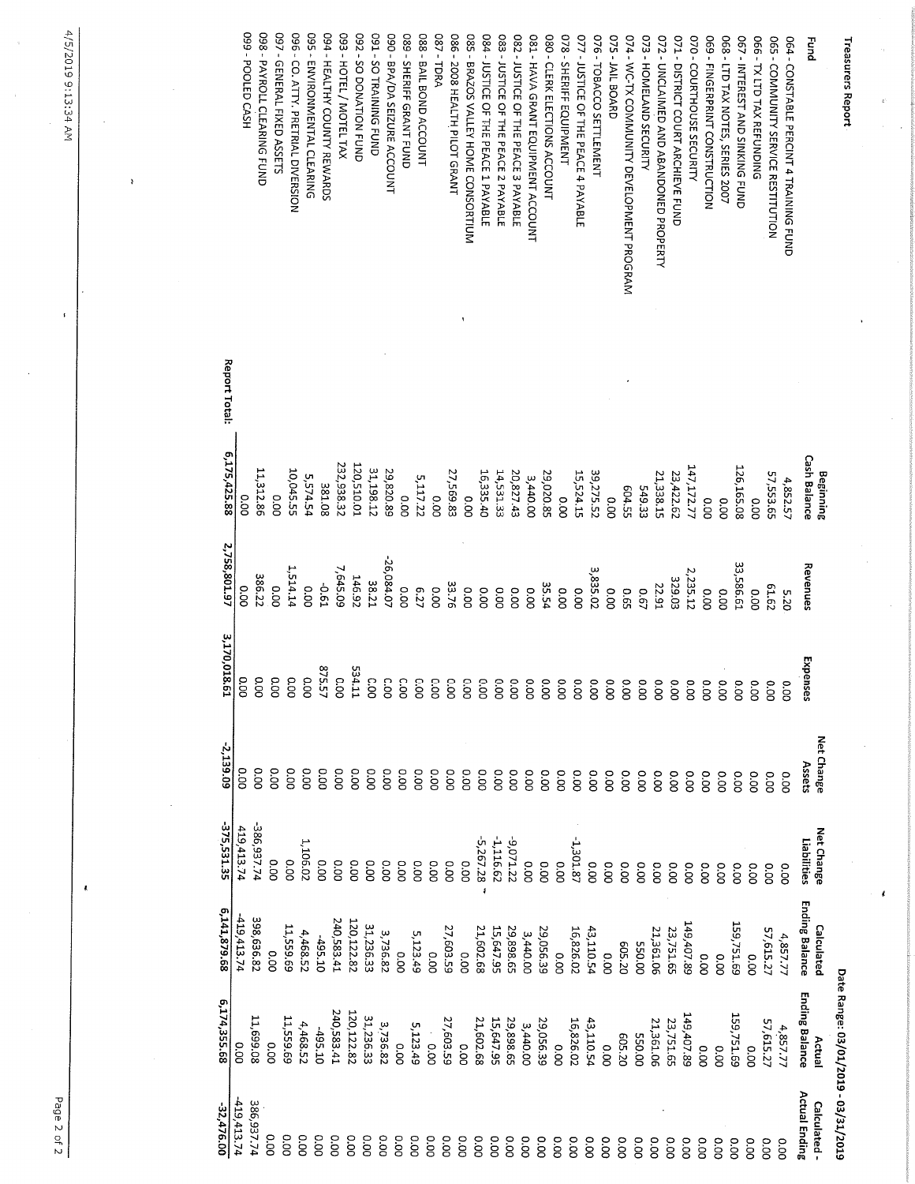4/5/2019 9:13:34 AM

į.

| -32,476.00           | 6,174,355.68                        | 6,141,879.68          | 375,531.35                  | -2,139.09  | 3,170,018.6         | 2,758,801.97         | 6,175,425.88        | Report Total: |                                               |
|----------------------|-------------------------------------|-----------------------|-----------------------------|------------|---------------------|----------------------|---------------------|---------------|-----------------------------------------------|
| 419,413.74           | 0.00                                | 419,413.74            | 419,413.74                  | O.OO       | 0.00                | o.oo                 | 0.00                |               |                                               |
| 386,937.74           | 11,699.08                           | 398,636.82            | 386,937.74                  | o.oo       | 0.00                | 386.22               | 11,312.86           |               | O99 - POOLED CASH                             |
| 0.00                 | 0.00                                | 0.00                  | 0.00                        | O.OO       | 0.00                | 0.00                 | ooo                 |               | <b>098 - PAYROLL CLEARING FUND</b>            |
| oo.o                 | 11,559.69                           | 11,559.69             | o.oo                        | o.oo       | O.OO                | 1,514.14             |                     |               | 097 - GENERAL FIXED ASSETS                    |
| oo.oo                | 4,468.52                            | 4,468.52              | 1,106.02                    | o.oo       |                     |                      | 10,045.55           |               | 096 - CO. ATTY. PRETRIAL DIVERSION            |
| o.oo                 | -495.10                             | $-495.10$             | oo.o                        | o.oo       | 575.5<br>0.00       | <b>50.61</b><br>0.00 | 5,574.54            |               | <b>095 - ENVIRONMENTAL CLEARING</b>           |
| 0.00                 | 240,583.41                          | 240,583.41            | o.oo                        | oo         | ┙                   |                      | 381.08              |               | 094 - HEALTHY COUNTY REWARDS                  |
| o.oo                 | 20,122.82                           | 120,122.82            | o.oo                        |            | <b>0.00</b><br>o    | 7,645.09             | 232,938.32          |               | S93 - HOTEL / MOTEL TAX                       |
| o.oo                 |                                     |                       |                             | 0.00       | 534.1:              | 146.92               | 120,510.01          |               | 092 - SO DONATION FUND                        |
| 0.00                 | 31,236.33                           | 31,236.33             | o.oo                        | 0.00       | $\tilde{c}$<br>o    | 38.21                | 31,198.12           |               | <b>D91-SO TRAINING FUND</b>                   |
|                      | 3,736.82                            | 3,736.82              | O.OO                        | o.oo       | Ο.<br>Ο<br>Ó        | -26,084.07           | 29,820.89           |               | 090 - BPA/DA SEIZURE ACCOUNT                  |
| o.oo                 | 0.00                                | 00.0                  | 0.00                        | o.oo       | o.o<br>Ō            | 0.00                 | 0.00                |               | <b>089 - SHERIFF GRANT FUND</b>               |
| O.OO                 | 5,123.49                            | 5,123.49              | 0.00                        | o.oo       | o.o<br>Ō            | 6.27                 | 5,117.22            |               | 088 - BAIL BOND ACCOUNT                       |
| oo.o                 | 00.0                                | 0.00                  | 0.00                        | o.oo       | C.O<br>0            | 0.00                 | o.oo                |               | <b>087-TDRA</b>                               |
| O.OO                 | 27,603.59                           | 27,603.59             | O.O                         | o.oo       | $\overline{c}$<br>0 | 33.76                | 27,569.83           |               | 086 - 2008 HEALTH PILOT GRANT                 |
| o.oo                 | 0.00                                | 0.00                  | 0.00                        | O.OO       | °0                  | o.oo                 | 00.0                |               | 085 - BRAZOS VALLEY HOME CONSORTIUM           |
| o.oo                 | 21,602.68                           | 21,602.68             | $-5,267.28$<br>$\mathbf{I}$ | 0.00       | δ°<br>Õ             | O.O                  | 16,335.40           |               | 084 - JUSTICE OF THE PEACE 1 PAYABLE          |
| o.oo                 | 15,647.95                           | 15,647.95             | 1,116.62                    | 0.00       | co<br>0             | ooo                  | 14,531.33           |               | 083 - JUSTICE OF THE PEACE 2 PAYABLE          |
| O.OO                 | 29,898.65                           | 29,898.65             | $-9,071.22$                 | o.oo       | $\overline{0}$<br>0 | o.oo                 | 20,827.43           |               | 082 - JUSTICE OF THE PEACE 3 PAYABLE          |
| 0.00                 | 3,440.00                            | 3,440.00              | 0.00                        | o.oo       | °0<br>O             | 00.00                | 3,440.00            |               | <b>081 - HAVA GRANT EQUIPMENT ACCOUNT</b>     |
| 00.0                 | 29,056.39                           | 29,056.39             | O.O                         | o.oo       | δ°<br>ō             | 35.54                | 29,020.85           |               | 080 - CLERK ELECTIONS ACCOUNT                 |
| 0.00                 | 0.00                                | 0.00                  | 0.00                        | o.oo       | °0<br>ō             | 0.00                 | 00.0                |               | 078 - SHERIFF EQUIPMENT                       |
| 0.00                 | 16,826.02                           | 16,826.02             | $-1,301.87$                 | 0.00       | 0.00                | o.oo                 | 15,524.15           |               | <b>077 - JUSTICE OF THE PEACE 4 PAYABLE</b>   |
| O.O                  | 43,110.54                           | 43,110.54             | 0.00                        | 0.00       | 0.00                | 3,835.02             | 39,275.52           |               | 076 - TOBACCO SETTLEMENT                      |
| o.oo                 | 00.0                                | 0.00                  | 0.00                        | O.OO       | 0.00                | o.oo                 | 0.00                |               | <b>D75 - JAIL BOARD</b>                       |
| o.oo                 | 605.20                              | 605.20                | o.oo                        | o.oo       | 0.00                | 5.65                 | E04.55              |               | 074 - WC-TX COMMUNITY DEVELOPMENT PROGRAM     |
| O.OO                 | 00'055                              | 00'055                | o.oo                        | O.OO       | 0.00                | 0.67                 | 549.33              |               | 073 - HOMELAND SECURITY                       |
| o.oo                 | 21,361.06                           | 21,361.06             | 0.00                        | o.oo       | 0.00                | 22.91                | 21,338.15           |               | <b>072 - UNCLAIMED AND ABANDONED PROPERTY</b> |
| o.oo                 | 23,751.65                           | 23,751.65             | 0.00                        | o.oo       | 0.00                | 329.03               | 23,422.62           |               | <b>071 - DISTRICT COURT ARCHIEVE FUND</b>     |
| 0.00                 | 149,407.89                          | 149,407.89            | O.OO                        | o.oo       | $\infty$            | 2,235.12             | 147,172.77          |               | 070 - COURTHOUSE SECURITY                     |
| oo.o                 | 0.00                                | O.OO                  | o.oo                        | o.oo       |                     | 0.00                 | oo                  |               | 069 - FINGERPRINT CONSTRUCTION                |
| o.oo                 | 0.00                                | o.oo                  | 0.00                        | 0.00       |                     | o.oo                 | 0.00                |               | 068 - LTD TAX NOTES, SERIES 2007              |
| O.OO                 | 159,751.69                          | 159,751.69            | o.oo                        | O.O        |                     | 33,586.61            | 126,165.08          |               | <b>067 - INTEREST AND SINKING FUND</b>        |
| 0.00                 | 0.00                                | 0.00                  | 0.00                        | o.oo       | 0.00                | 0.00                 | 0.00                |               | <b>DEE-TX LTD TAX REFUNDING</b>               |
| o.oo                 | 57,615.27                           | 57,615.27             | o.oo                        | O.OO       | 0.00                | 61.62                | 57,553.65           |               | <b>065 - COMMUNITY SERVICE RESTITUTION</b>    |
| 0.00                 | 4,857.77                            | 4,857.77              | o.oo                        | o.oo       | 0.00                | 5.20                 | 4,852.57            |               | 064 - CONSTABLE PERCINT 4 TRAINING FUND       |
| <b>Actual Ending</b> | <b>Ending Balance</b>               | <b>Ending Balance</b> | Liabilities                 | Assets     | Expenses            | Revenues             | <b>Cash Balance</b> |               | Fund                                          |
| Calculated -         | Actual                              | Calculated            | Net Change                  | Net Change |                     |                      | Beginning           |               |                                               |
|                      | Date Range: 03/01/2019 - 03/31/2019 |                       |                             |            |                     |                      |                     |               | י בספרו בופי עבלוחות                          |

**Treasurers Report** 

 $\mathbf{r}$ 

Page 2 of 2

 $\pmb{\mathbf{t}}$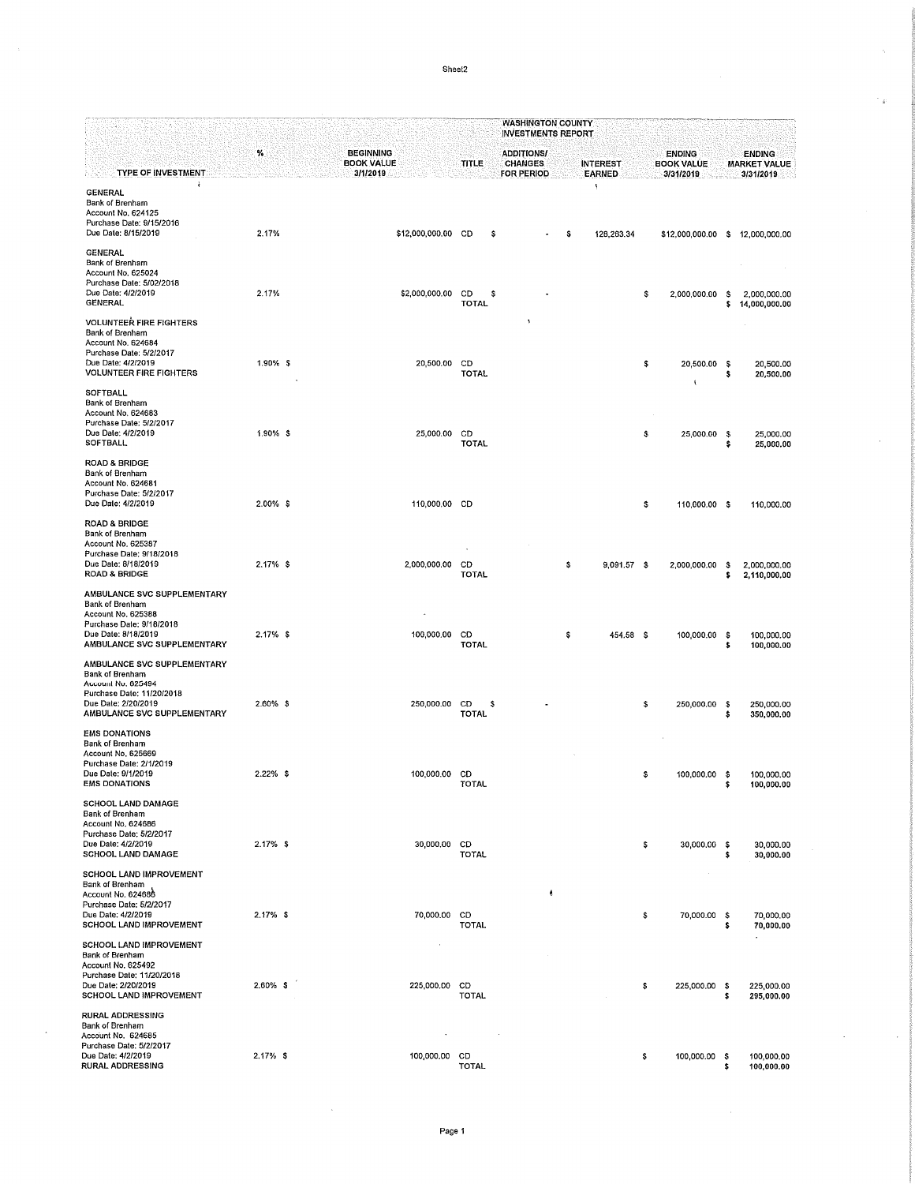Sheet2

|                                                                                                                                                            |             |  |                                                   |  |                          | <b>WASHINGTON COUNTY</b><br><b>INVESTMENTS REPORT</b> |   |    |                                  |    |                                                 |            |                                                   |  |  |
|------------------------------------------------------------------------------------------------------------------------------------------------------------|-------------|--|---------------------------------------------------|--|--------------------------|-------------------------------------------------------|---|----|----------------------------------|----|-------------------------------------------------|------------|---------------------------------------------------|--|--|
| <b>TYPE OF INVESTMENT</b>                                                                                                                                  | $\%$        |  | <b>BEGINNING</b><br><b>BOOK VALUE</b><br>3/1/2019 |  | TITLE                    | <b>ADDITIONS/</b><br><b>CHANGES</b><br>FOR PERIOD     |   |    | <b>INTEREST</b><br><b>EARNED</b> |    | <b>ENDING</b><br><b>BOOK VALUE</b><br>3/31/2019 |            | <b>ENDING</b><br><b>MARKET VALUE</b><br>3/31/2019 |  |  |
| ł<br>GENERAL<br>Bank of Brenham<br>Account No. 624125<br>Purchase Date: 9/15/2016<br>Due Date: 8/15/2019                                                   | 2.17%       |  | \$12,000,000.00 CD                                |  | \$                       |                                                       |   | s  | ×<br>128,263.34                  |    | \$12,000,000.00 \$                              |            | 12,000,000.00                                     |  |  |
| <b>GENERAL</b><br>Bank of Brenham<br>Account No. 625024<br>Purchase Date: 5/02/2018<br>Due Date: 4/2/2019<br><b>GENERAL</b>                                | 2.17%       |  | \$2,000,000.00                                    |  | CD<br>s<br><b>TOTAL</b>  |                                                       |   |    |                                  | \$ | 2,000,000.00                                    | s<br>\$    | 2,000,000.00<br>14,000,000.00                     |  |  |
| <b>VOLUNTEER FIRE FIGHTERS</b><br>Bank of Brenham<br>Account No. 624684<br>Purchase Date; 5/2/2017<br>Due Date: 4/2/2019<br><b>VOLUNTEER FIRE FIGHTERS</b> | 1.90% \$    |  | 20,500.00                                         |  | CD<br><b>TOTAL</b>       |                                                       |   |    |                                  | \$ | 20,500.00                                       | -S<br>s    | 20,500.00<br>20,500.00                            |  |  |
| <b>SOFTBALL</b><br>Bank of Brenham<br>Account No. 624683<br>Purchase Date: 5/2/2017<br>Due Date: 4/2/2019<br><b>SOFTBALL</b>                               | 1.90% \$    |  | 25,000.00                                         |  | CD<br><b>TOTAL</b>       |                                                       |   |    |                                  | \$ | 25,000.00                                       | -\$<br>s   | 25,000.00<br>25,000.00                            |  |  |
| <b>ROAD &amp; BRIDGE</b><br>Bank of Brenham<br>Account No. 624681<br>Purchase Date: 5/2/2017<br>Due Date: 4/2/2019                                         | $2.00\%$ \$ |  | 110,000.00 CD                                     |  |                          |                                                       |   |    |                                  | \$ | 110,000.00 \$                                   |            | 110,000.00                                        |  |  |
| <b>ROAD &amp; BRIDGE</b><br>Bank of Brenham<br>Account No. 625387<br>Purchase Date: 9/18/2018<br>Due Date: 8/18/2019<br><b>ROAD &amp; BRIDGE</b>           | $2.17%$ \$  |  | 2,000,000.00                                      |  | CD<br>TOTAL              |                                                       |   | \$ | 9,091.57 \$                      |    | 2,000,000.00                                    | s<br>\$    | 2,000,000.00<br>2,110,000.00                      |  |  |
| AMBULANCE SVC SUPPLEMENTARY<br>Bank of Brenham<br>Account No. 625388<br>Purchase Date; 9/18/2018<br>Due Date: 8/18/2019<br>AMBULANCE SVC SUPPLEMENTARY     | $2.17%$ \$  |  | 100,000.00 CD                                     |  | <b>TOTAL</b>             |                                                       |   | \$ | 454.58 \$                        |    | 100,000.00                                      | - \$<br>\$ | 100,000.00<br>100,000.00                          |  |  |
| AMBULANCE SVC SUPPLEMENTARY<br>Bank of Brenham<br>Account No. 625494<br>Purchase Date: 11/20/2018<br>Due Date: 2/20/2019<br>AMBULANCE SVC SUPPLEMENTARY    | $2.60\%$ \$ |  | 250,000.00                                        |  | CD<br>-S<br><b>TOTAL</b> |                                                       |   |    |                                  | \$ | 250,000.00                                      | -\$<br>\$  | 250,000.00<br>350,000.00                          |  |  |
| <b>EMS DONATIONS</b><br>Bank of Brenham<br>Account No. 625669<br>Purchase Date: 2/1/2019<br>Due Date: 9/1/2019<br><b>EMS DONATIONS</b>                     | $2.22\%$ \$ |  | 100,000.00 CD                                     |  | <b>TOTAL</b>             |                                                       |   |    |                                  | s  | 100,000.00                                      | - \$<br>\$ | 100,000.00<br>100,000.00                          |  |  |
| <b>SCHOOL LAND DAMAGE</b><br>Bank of Brenham<br>Account No. 624686<br>Purchase Date; 5/2/2017<br>Due Date: 4/2/2019<br><b>SCHOOL LAND DAMAGE</b>           | $2.17%$ \$  |  | 30,000.00 CD                                      |  | <b>TOTAL</b>             |                                                       |   |    |                                  | \$ | 30,000.00 \$                                    | \$         | 30,000.00<br>30,000.00                            |  |  |
| SCHOOL LAND IMPROVEMENT<br>Bank of Brenham<br>Account No. 624686<br>Purchase Date: 5/2/2017<br>Due Date: 4/2/2019<br>SCHOOL LAND IMPROVEMENT               | $2.17%$ \$  |  | 70,000.00                                         |  | CD<br><b>TOTAL</b>       |                                                       | ٠ |    |                                  | \$ | 70,000.00                                       | -S<br>\$   | 70,000.00<br>70,000.00                            |  |  |
| SCHOOL LAND IMPROVEMENT<br>Bank of Brenham<br>Account No. 625492<br>Purchase Date: 11/20/2018<br>Due Date: 2/20/2019<br>SCHOOL LAND IMPROVEMENT            | 2.60% \$    |  | 225,000.00                                        |  | CD<br><b>TOTAL</b>       |                                                       |   |    |                                  | \$ | 225,000.00                                      | - \$<br>\$ | 225,000.00<br>295,000.00                          |  |  |
| RURAL ADDRESSING<br>Bank of Brenham<br>Account No. 624685<br>Purchase Date: 5/2/2017<br>Due Date: 4/2/2019<br><b>RURAL ADDRESSING</b>                      | $2.17%$ \$  |  | 100,000,00 CD                                     |  | <b>TOTAL</b>             |                                                       |   |    |                                  | \$ | 100,000.00                                      | - 5<br>\$  | 100,000.00<br>100,000.00                          |  |  |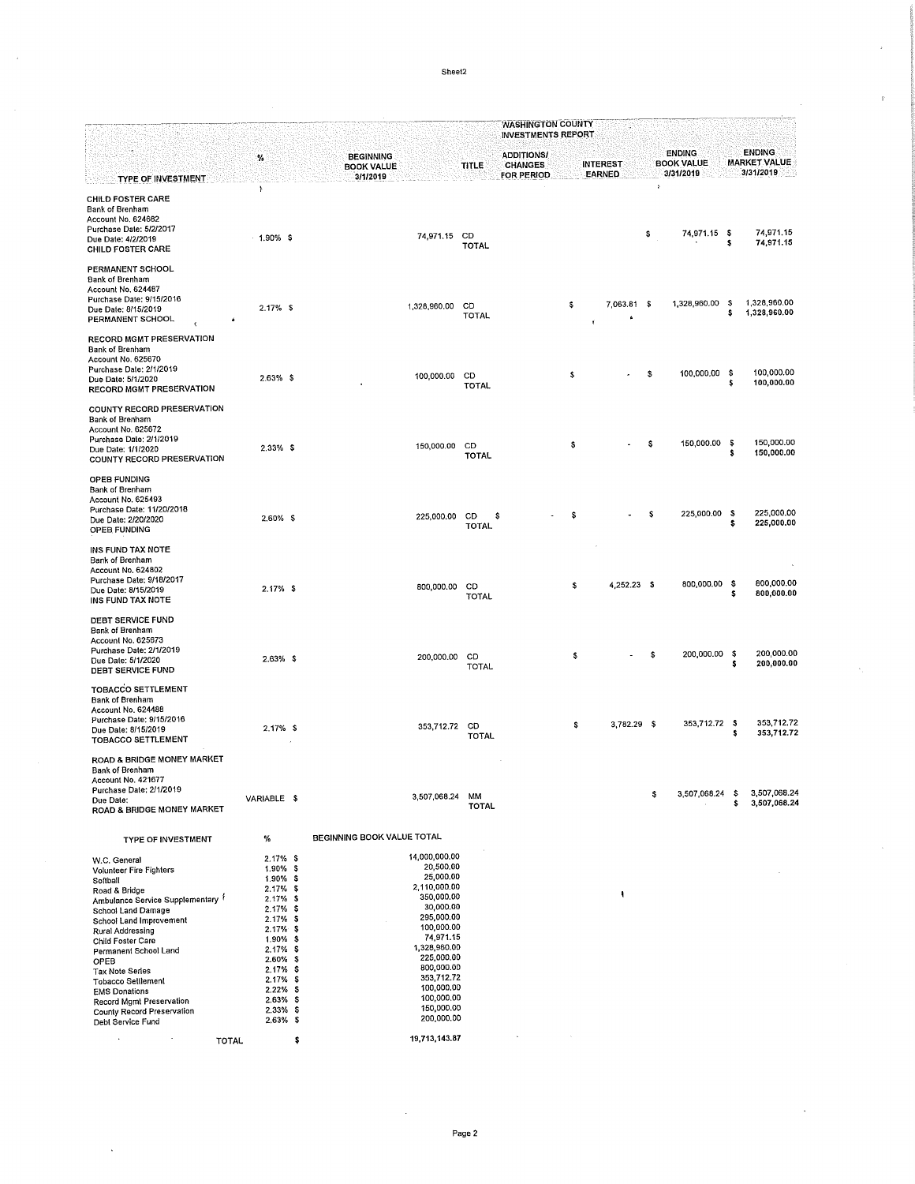Sheet2

ø

|                                                                                                                                                                                                                                                                                                                                                                                   |                                                                                                                                                                                                                                          |                                                                                                                                                                                                                                               |                          | <b>WASHINGTON COUNTY</b><br><b>INVESTMENTS REPORT</b> |    |                 |             |           |                                    |            |                                      |
|-----------------------------------------------------------------------------------------------------------------------------------------------------------------------------------------------------------------------------------------------------------------------------------------------------------------------------------------------------------------------------------|------------------------------------------------------------------------------------------------------------------------------------------------------------------------------------------------------------------------------------------|-----------------------------------------------------------------------------------------------------------------------------------------------------------------------------------------------------------------------------------------------|--------------------------|-------------------------------------------------------|----|-----------------|-------------|-----------|------------------------------------|------------|--------------------------------------|
|                                                                                                                                                                                                                                                                                                                                                                                   | %                                                                                                                                                                                                                                        | <b>BEGINNING</b><br><b>BOOK VALUE</b>                                                                                                                                                                                                         | <b>TITLE</b>             | <b>ADDITIONS/</b><br><b>CHANGES</b>                   |    | <b>INTEREST</b> |             |           | <b>ENDING</b><br><b>BOOK VALUE</b> |            | <b>ENDING</b><br><b>MARKET VALUE</b> |
| TYPE OF INVESTMENT                                                                                                                                                                                                                                                                                                                                                                |                                                                                                                                                                                                                                          | 3/1/2019                                                                                                                                                                                                                                      |                          | FOR PERIOD                                            |    | EARNED          |             | $\Lambda$ | 3/31/2019                          |            | 3/31/2019                            |
| <b>CHILD FOSTER CARE</b><br>Bank of Brenham<br>Account No. 624682<br>Purchase Date: 5/2/2017<br>Due Date: 4/2/2019<br><b>CHILD FOSTER CARE</b><br>PERMANENT SCHOOL                                                                                                                                                                                                                | 1<br>$-1.90\%$ \$                                                                                                                                                                                                                        | 74,971.15 CD                                                                                                                                                                                                                                  | <b>TOTAL</b>             |                                                       |    |                 |             | \$        | 74,971.15 \$                       | s          | 74,971.15<br>74,971.15               |
| Bank of Brenham<br>Account No. 624487<br>Purchase Date: 9/15/2016<br>Due Date: 8/15/2019<br>PERMANENT SCHOOL                                                                                                                                                                                                                                                                      | $2.17%$ \$                                                                                                                                                                                                                               | 1,328,960.00                                                                                                                                                                                                                                  | CD<br><b>TOTAL</b>       |                                                       | \$ |                 | 7,063.81 \$ |           | 1,328,960.00                       | - 5<br>\$  | 1,328,960.00<br>1,328,960.00         |
| RECORD MGMT PRESERVATION<br>Bank of Brenham<br>Account No. 625670<br>Purchase Date: 2/1/2019<br>Due Date: 5/1/2020<br><b>RECORD MGMT PRESERVATION</b>                                                                                                                                                                                                                             | $2.63\%$ \$                                                                                                                                                                                                                              | 100,000.00                                                                                                                                                                                                                                    | CD<br><b>TOTAL</b>       |                                                       | \$ |                 |             | s         | 100,000.00                         | -S<br>s    | 100,000.00<br>100,000.00             |
| COUNTY RECORD PRESERVATION<br>Bank of Brenham<br>Account No. 625672<br>Purchase Date: 2/1/2019<br>Due Date: 1/1/2020<br><b>COUNTY RECORD PRESERVATION</b>                                                                                                                                                                                                                         | $2.33\%$ \$                                                                                                                                                                                                                              | 150,000.00 CD                                                                                                                                                                                                                                 | <b>TOTAL</b>             |                                                       | s  |                 |             | s         | 150,000.00                         | - \$<br>\$ | 150,000.00<br>150,000.00             |
| OPEB FUNDING<br>Bank of Brenham<br>Account No. 625493<br>Purchase Date: 11/20/2018<br>Due Date: 2/20/2020<br>OPEB FUNDING                                                                                                                                                                                                                                                         | 2.60% \$                                                                                                                                                                                                                                 | 225,000.00                                                                                                                                                                                                                                    | \$<br>CD<br><b>TOTAL</b> |                                                       |    |                 |             | s         | 225,000.00                         | -S<br>\$   | 225,000.00<br>225,000.00             |
| INS FUND TAX NOTE<br>Bank of Brenham<br>Account No. 624802<br>Purchase Date: 9/18/2017<br>Due Date: 8/15/2019<br>INS FUND TAX NOTE                                                                                                                                                                                                                                                | $2.17%$ \$                                                                                                                                                                                                                               | 800,000.00                                                                                                                                                                                                                                    | CD<br><b>TOTAL</b>       |                                                       | \$ |                 | 4,252.23 \$ |           | 800,000.00                         | -\$<br>s   | 800,000.00<br>800,000.00             |
| <b>DEBT SERVICE FUND</b><br>Bank of Brenham<br>Account No. 625673<br>Purchase Date: 2/1/2019<br>Due Date: 5/1/2020<br>DEBT SERVICE FUND                                                                                                                                                                                                                                           | $2.63\%$ \$                                                                                                                                                                                                                              | 200,000.00 CD                                                                                                                                                                                                                                 | <b>TOTAL</b>             |                                                       | \$ |                 |             | s         | 200,000.00                         | -S<br>s    | 200,000.00<br>200,000.00             |
| <b>TOBACCO SETTLEMENT</b><br>Bank of Brenham<br>Account No. 624488<br>Purchase Date: 9/15/2016<br>Due Date: 8/15/2019<br><b>TOBACCO SETTLEMENT</b>                                                                                                                                                                                                                                | $2.17%$ \$                                                                                                                                                                                                                               | 353,712.72                                                                                                                                                                                                                                    | CD<br><b>TOTAL</b>       |                                                       | \$ |                 | 3,782.29 \$ |           | 353,712.72 \$                      | s          | 353.712.72<br>353,712.72             |
| ROAD & BRIDGE MONEY MARKET<br>Bank of Brenham<br>Account No. 421677<br>Purchase Date: 2/1/2019<br>Due Date:<br>ROAD & BRIDGE MONEY MARKET                                                                                                                                                                                                                                         | VARIABLE \$                                                                                                                                                                                                                              | 3,507,068.24                                                                                                                                                                                                                                  | МM<br><b>TOTAL</b>       |                                                       |    |                 |             | \$        | 3,507,068.24                       | - \$<br>\$ | 3,507,068.24<br>3,507,068.24         |
| TYPE OF INVESTMENT                                                                                                                                                                                                                                                                                                                                                                | %                                                                                                                                                                                                                                        | BEGINNING BOOK VALUE TOTAL                                                                                                                                                                                                                    |                          |                                                       |    |                 |             |           |                                    |            |                                      |
| W.C. General<br>Volunteer Fire Fighters<br>Softball<br>Road & Bridge<br>Ambulance Service Supplementary <sup>?</sup><br>School Land Damage<br>School Land Improvement<br>Rural Addressing<br>Child Foster Care<br>Permanent School Land<br>OPEB<br>Tax Note Series<br><b>Tobacco Settlement</b><br><b>EMS Donations</b><br>Record Mgmt Preservation<br>County Record Preservation | $2.17%$ \$<br>1.90% \$<br>1.90% \$<br>$2.17%$ \$<br>$2.17\%$ \$<br>$2.17%$ \$<br>$2.17%$ \$<br>$2.17%$ \$<br>1.90% \$<br>$2.17\%$ \$<br>2.60% \$<br>$2.17%$ \$<br>$2.17%$ \$<br>$2.22\%$ \$<br>$2.63\%$ \$<br>$2.33\%$ \$<br>$2.63\%$ \$ | 14,000,000.00<br>20,500,00<br>25,000.00<br>2,110,000.00<br>350,000.00<br>30,000.00<br>295,000.00<br>100,000.00<br>74,971.15<br>1,328,960.00<br>225,000.00<br>800,000.00<br>353,712.72<br>100,000.00<br>100,000.00<br>150 000.00<br>200,000.00 |                          |                                                       |    |                 |             |           |                                    |            |                                      |
| Debt Service Fund<br>$\cdot$<br><b>TOTAL</b>                                                                                                                                                                                                                                                                                                                                      |                                                                                                                                                                                                                                          | \$<br>19,713,143.87                                                                                                                                                                                                                           |                          |                                                       |    |                 |             |           |                                    |            |                                      |

**TOTAL** 

 $\pmb{\mathsf{s}}$